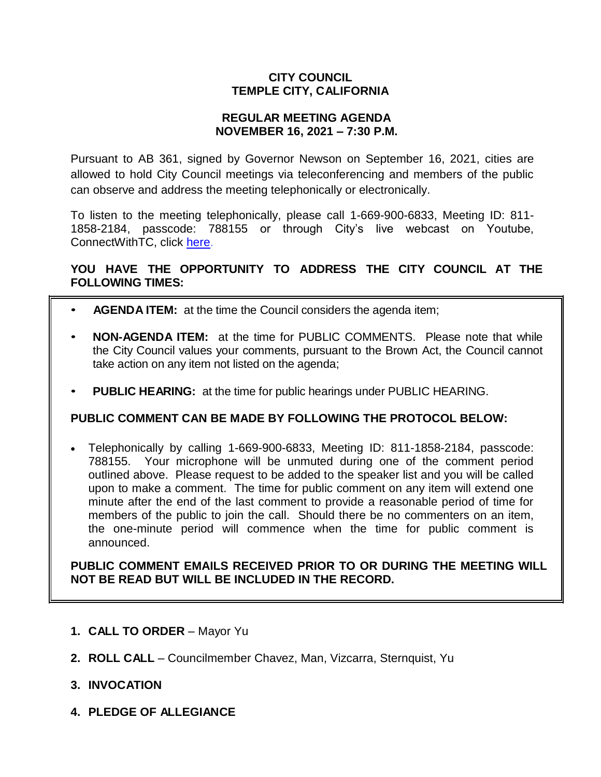# **CITY COUNCIL TEMPLE CITY, CALIFORNIA**

### **REGULAR MEETING AGENDA NOVEMBER 16, 2021 – 7:30 P.M.**

Pursuant to AB 361, signed by Governor Newson on September 16, 2021, cities are allowed to hold City Council meetings via teleconferencing and members of the public can observe and address the meeting telephonically or electronically.

To listen to the meeting telephonically, please call 1-669-900-6833, Meeting ID: 811- 1858-2184, passcode: 788155 or through City's live webcast on Youtube, ConnectWithTC, click [here.](https://www.ci.temple-city.ca.us/516/Meeting-Webcast)

# **YOU HAVE THE OPPORTUNITY TO ADDRESS THE CITY COUNCIL AT THE FOLLOWING TIMES:**

- **AGENDA ITEM:** at the time the Council considers the agenda item;
- **NON-AGENDA ITEM:** at the time for PUBLIC COMMENTS. Please note that while the City Council values your comments, pursuant to the Brown Act, the Council cannot take action on any item not listed on the agenda;
- **PUBLIC HEARING:** at the time for public hearings under PUBLIC HEARING.

### **PUBLIC COMMENT CAN BE MADE BY FOLLOWING THE PROTOCOL BELOW:**

 Telephonically by calling 1-669-900-6833, Meeting ID: 811-1858-2184, passcode: 788155. Your microphone will be unmuted during one of the comment period outlined above. Please request to be added to the speaker list and you will be called upon to make a comment. The time for public comment on any item will extend one minute after the end of the last comment to provide a reasonable period of time for members of the public to join the call. Should there be no commenters on an item, the one-minute period will commence when the time for public comment is announced.

**PUBLIC COMMENT EMAILS RECEIVED PRIOR TO OR DURING THE MEETING WILL NOT BE READ BUT WILL BE INCLUDED IN THE RECORD.**

- **1. CALL TO ORDER**  Mayor Yu
- **2. ROLL CALL**  Councilmember Chavez, Man, Vizcarra, Sternquist, Yu
- **3. INVOCATION**
- **4. PLEDGE OF ALLEGIANCE**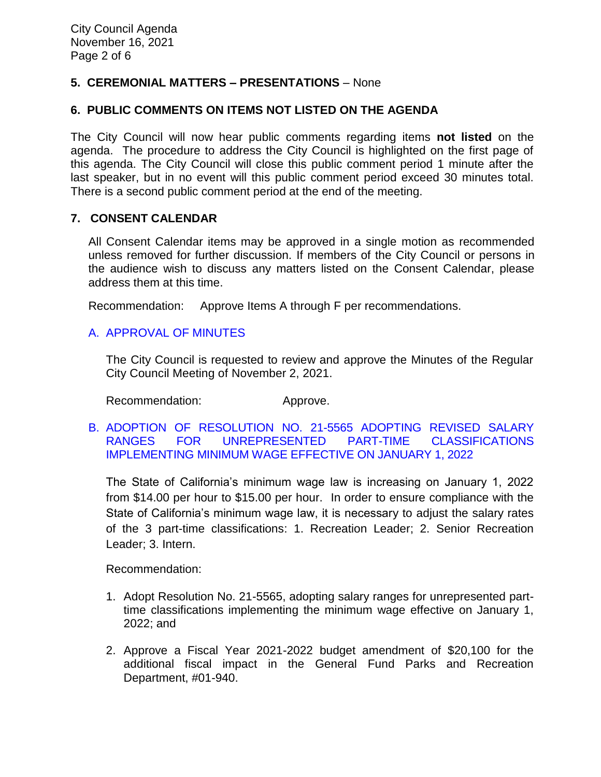# **5. CEREMONIAL MATTERS – PRESENTATIONS** – None

## **6. PUBLIC COMMENTS ON ITEMS NOT LISTED ON THE AGENDA**

The City Council will now hear public comments regarding items **not listed** on the agenda. The procedure to address the City Council is highlighted on the first page of this agenda. The City Council will close this public comment period 1 minute after the last speaker, but in no event will this public comment period exceed 30 minutes total. There is a second public comment period at the end of the meeting.

### **7. CONSENT CALENDAR**

All Consent Calendar items may be approved in a single motion as recommended unless removed for further discussion. If members of the City Council or persons in the audience wish to discuss any matters listed on the Consent Calendar, please address them at this time.

Recommendation: Approve Items A through F per recommendations.

### [A. APPROVAL OF MINUTES](https://www.ci.temple-city.ca.us/DocumentCenter/View/16984/01-7A_CCM---2021-11-02)

The City Council is requested to review and approve the Minutes of the Regular City Council Meeting of November 2, 2021.

Recommendation: Approve.

B. [ADOPTION OF RESOLUTION NO. 21-5565 ADOPTING REVISED SALARY](https://www.ci.temple-city.ca.us/DocumentCenter/View/16985/02-7B_Minimum-Wage_Staff-Report_v2-w-attachment)  [RANGES FOR UNREPRESENTED PART-TIME CLASSIFICATIONS](https://www.ci.temple-city.ca.us/DocumentCenter/View/16985/02-7B_Minimum-Wage_Staff-Report_v2-w-attachment)  IMPLEMENTING [MINIMUM WAGE EFFECTIVE ON JANUARY 1, 2022](https://www.ci.temple-city.ca.us/DocumentCenter/View/16985/02-7B_Minimum-Wage_Staff-Report_v2-w-attachment)

The State of California's minimum wage law is increasing on January 1, 2022 from \$14.00 per hour to \$15.00 per hour. In order to ensure compliance with the State of California's minimum wage law, it is necessary to adjust the salary rates of the 3 part-time classifications: 1. Recreation Leader; 2. Senior Recreation Leader; 3. Intern.

Recommendation:

- 1. Adopt Resolution No. 21-5565, adopting salary ranges for unrepresented parttime classifications implementing the minimum wage effective on January 1, 2022; and
- 2. Approve a Fiscal Year 2021-2022 budget amendment of \$20,100 for the additional fiscal impact in the General Fund Parks and Recreation Department, #01-940.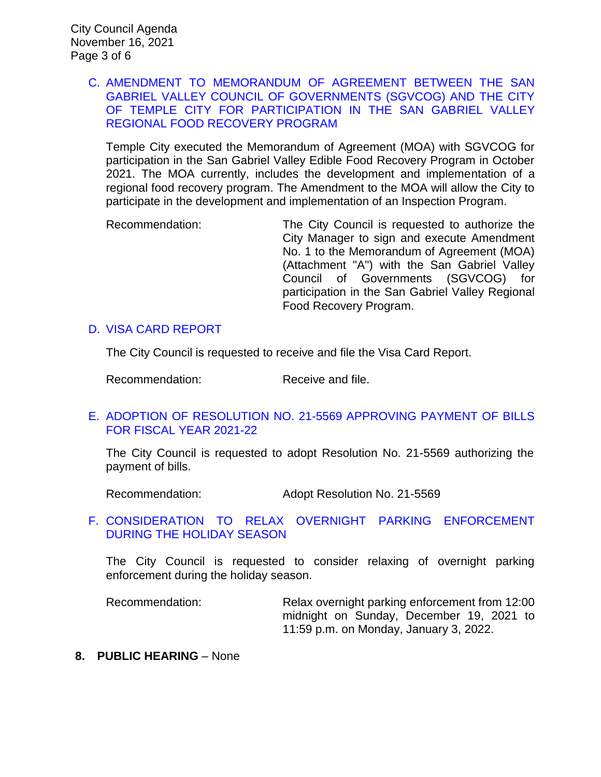### C. [AMENDMENT TO MEMORANDUM OF AGREEMENT BETWEEN THE SAN](https://www.ci.temple-city.ca.us/DocumentCenter/View/16986/03-7C_Amend-Food-Recovery-Program-Staff-Report-)  [GABRIEL VALLEY COUNCIL OF GOVERNMENTS \(SGVCOG\) AND THE CITY](https://www.ci.temple-city.ca.us/DocumentCenter/View/16986/03-7C_Amend-Food-Recovery-Program-Staff-Report-)  [OF TEMPLE CITY FOR PARTICIPATION IN THE SAN GABRIEL VALLEY](https://www.ci.temple-city.ca.us/DocumentCenter/View/16986/03-7C_Amend-Food-Recovery-Program-Staff-Report-)  [REGIONAL FOOD RECOVERY PROGRAM](https://www.ci.temple-city.ca.us/DocumentCenter/View/16986/03-7C_Amend-Food-Recovery-Program-Staff-Report-)

Temple City executed the Memorandum of Agreement (MOA) with SGVCOG for participation in the San Gabriel Valley Edible Food Recovery Program in October 2021. The MOA currently, includes the development and implementation of a regional food recovery program. The Amendment to the MOA will allow the City to participate in the development and implementation of an Inspection Program.

Recommendation: The City Council is requested to authorize the City Manager to sign and execute Amendment No. 1 to the Memorandum of Agreement (MOA) (Attachment "A") with the San Gabriel Valley Council of Governments (SGVCOG) for participation in the San Gabriel Valley Regional Food Recovery Program.

### D. [VISA CARD REPORT](https://www.ci.temple-city.ca.us/DocumentCenter/View/16987/04-7D_Visa-Card-Report-11-16-21)

The City Council is requested to receive and file the Visa Card Report.

Recommendation: Receive and file.

# E. [ADOPTION OF RESOLUTION NO. 21-5569 APPROVING PAYMENT OF BILLS](https://www.ci.temple-city.ca.us/DocumentCenter/View/16988/05-7E_CC-Warrant_Reso-No-21-5569-w-attachment)  [FOR FISCAL YEAR 2021-22](https://www.ci.temple-city.ca.us/DocumentCenter/View/16988/05-7E_CC-Warrant_Reso-No-21-5569-w-attachment)

The City Council is requested to adopt Resolution No. 21-5569 authorizing the payment of bills.

Recommendation: Adopt Resolution No. 21-5569

### F. [CONSIDERATION TO RELAX OVERNIGHT PARKING ENFORCEMENT](https://www.ci.temple-city.ca.us/DocumentCenter/View/17008/07-7F_2021-11-16-Relaxed-Overnight-Parking-Enforcement_Staff-Report)  [DURING THE HOLIDAY SEASON](https://www.ci.temple-city.ca.us/DocumentCenter/View/17008/07-7F_2021-11-16-Relaxed-Overnight-Parking-Enforcement_Staff-Report)

The City Council is requested to consider relaxing of overnight parking enforcement during the holiday season.

Recommendation: Relax overnight parking enforcement from 12:00 midnight on Sunday, December 19, 2021 to 11:59 p.m. on Monday, January 3, 2022.

**8. PUBLIC HEARING** – None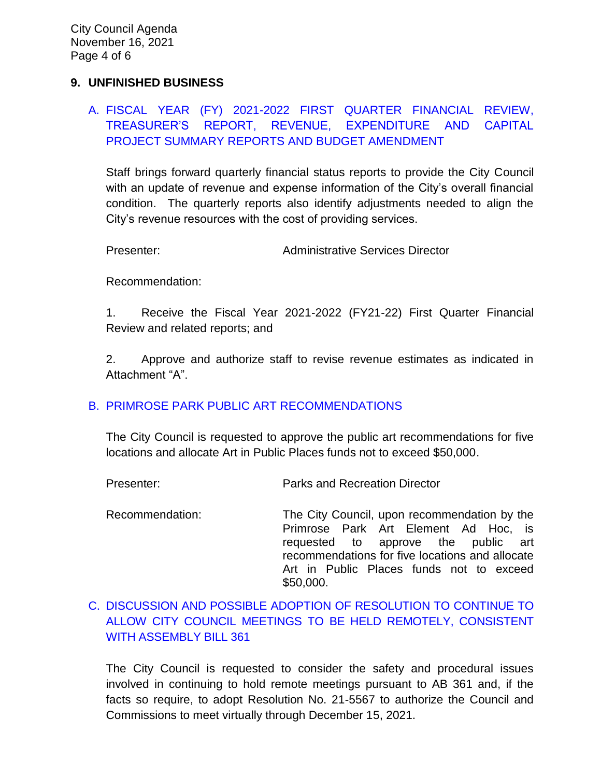## **9. UNFINISHED BUSINESS**

# A. [FISCAL YEAR \(FY\) 2021-2022 FIRST QUARTER FINANCIAL REVIEW,](https://www.ci.temple-city.ca.us/DocumentCenter/View/16989/07-9A_First-Qtr-Financial-Status-Review-FY2122_v2-w-attachments)  [TREASURER'S REPORT, REVENUE, EXPENDITURE AND CAPITAL](https://www.ci.temple-city.ca.us/DocumentCenter/View/16989/07-9A_First-Qtr-Financial-Status-Review-FY2122_v2-w-attachments)  [PROJECT SUMMARY REPORTS AND BUDGET AMENDMENT](https://www.ci.temple-city.ca.us/DocumentCenter/View/16989/07-9A_First-Qtr-Financial-Status-Review-FY2122_v2-w-attachments)

Staff brings forward quarterly financial status reports to provide the City Council with an update of revenue and expense information of the City's overall financial condition. The quarterly reports also identify adjustments needed to align the City's revenue resources with the cost of providing services.

Presenter: Administrative Services Director

Recommendation:

1. Receive the Fiscal Year 2021-2022 (FY21-22) First Quarter Financial Review and related reports; and

2. Approve and authorize staff to revise revenue estimates as indicated in Attachment "A".

### B. [PRIMROSE PARK PUBLIC ART RECOMMENDATIONS](https://www.ci.temple-city.ca.us/DocumentCenter/View/16999/08-9B_Primrose-Park-Public-Art-Recommendation-Staff-Report-2021-11-16_v2-w-attachment)

The City Council is requested to approve the public art recommendations for five locations and allocate Art in Public Places funds not to exceed \$50,000.

Presenter: Parks and Recreation Director

Recommendation: The City Council, upon recommendation by the Primrose Park Art Element Ad Hoc, is requested to approve the public art recommendations for five locations and allocate Art in Public Places funds not to exceed \$50,000.

# C. [DISCUSSION AND POSSIBLE ADOPTION OF RESOLUTION TO CONTINUE TO](https://www.ci.temple-city.ca.us/DocumentCenter/View/16990/09-9C_Remote-Meeting_Staff-Report_v2-GM-final-w-attachments)  [ALLOW CITY COUNCIL MEETINGS TO BE HELD REMOTELY, CONSISTENT](https://www.ci.temple-city.ca.us/DocumentCenter/View/16990/09-9C_Remote-Meeting_Staff-Report_v2-GM-final-w-attachments)  [WITH ASSEMBLY BILL 361](https://www.ci.temple-city.ca.us/DocumentCenter/View/16990/09-9C_Remote-Meeting_Staff-Report_v2-GM-final-w-attachments)

The City Council is requested to consider the safety and procedural issues involved in continuing to hold remote meetings pursuant to AB 361 and, if the facts so require, to adopt Resolution No. 21-5567 to authorize the Council and Commissions to meet virtually through December 15, 2021.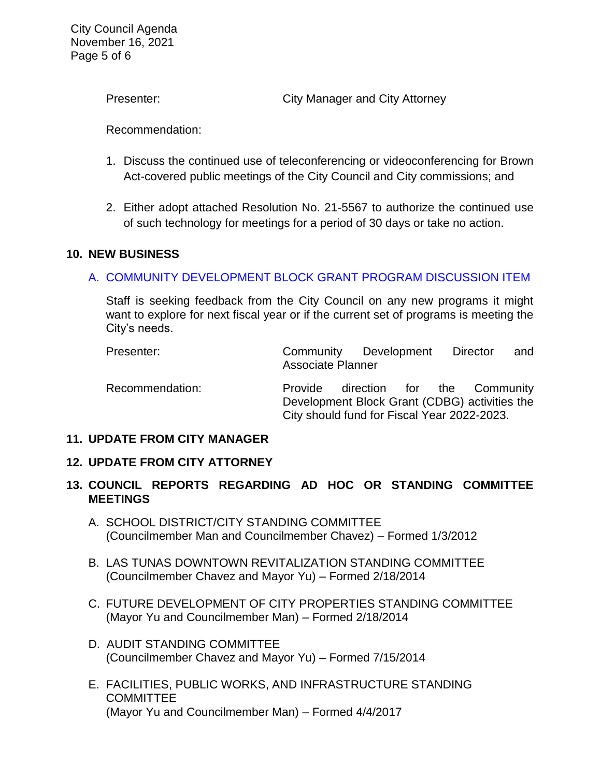City Council Agenda November 16, 2021 Page 5 of 6

Presenter: City Manager and City Attorney

Recommendation:

- 1. Discuss the continued use of teleconferencing or videoconferencing for Brown Act-covered public meetings of the City Council and City commissions; and
- 2. Either adopt attached Resolution No. 21-5567 to authorize the continued use of such technology for meetings for a period of 30 days or take no action.

### **10. NEW BUSINESS**

### A. [COMMUNITY DEVELOPMENT BLOCK GRANT PROGRAM DISCUSSION ITEM](https://www.ci.temple-city.ca.us/DocumentCenter/View/16991/10-10A_CDBG-Discussion--sr-ag-edits_v6-w-attachments)

Staff is seeking feedback from the City Council on any new programs it might want to explore for next fiscal year or if the current set of programs is meeting the City's needs.

| Presenter:      | Community Development Director<br><b>Associate Planner</b>                                              |                             |  | and |
|-----------------|---------------------------------------------------------------------------------------------------------|-----------------------------|--|-----|
| Recommendation: | Provide<br>Development Block Grant (CDBG) activities the<br>City should fund for Fiscal Year 2022-2023. | direction for the Community |  |     |

#### **11. UPDATE FROM CITY MANAGER**

#### **12. UPDATE FROM CITY ATTORNEY**

# **13. COUNCIL REPORTS REGARDING AD HOC OR STANDING COMMITTEE MEETINGS**

- A. SCHOOL DISTRICT/CITY STANDING COMMITTEE (Councilmember Man and Councilmember Chavez) – Formed 1/3/2012
- B. LAS TUNAS DOWNTOWN REVITALIZATION STANDING COMMITTEE (Councilmember Chavez and Mayor Yu) – Formed 2/18/2014
- C. FUTURE DEVELOPMENT OF CITY PROPERTIES STANDING COMMITTEE (Mayor Yu and Councilmember Man) – Formed 2/18/2014
- D. AUDIT STANDING COMMITTEE (Councilmember Chavez and Mayor Yu) – Formed 7/15/2014
- E. FACILITIES, PUBLIC WORKS, AND INFRASTRUCTURE STANDING **COMMITTEE** (Mayor Yu and Councilmember Man) – Formed 4/4/2017